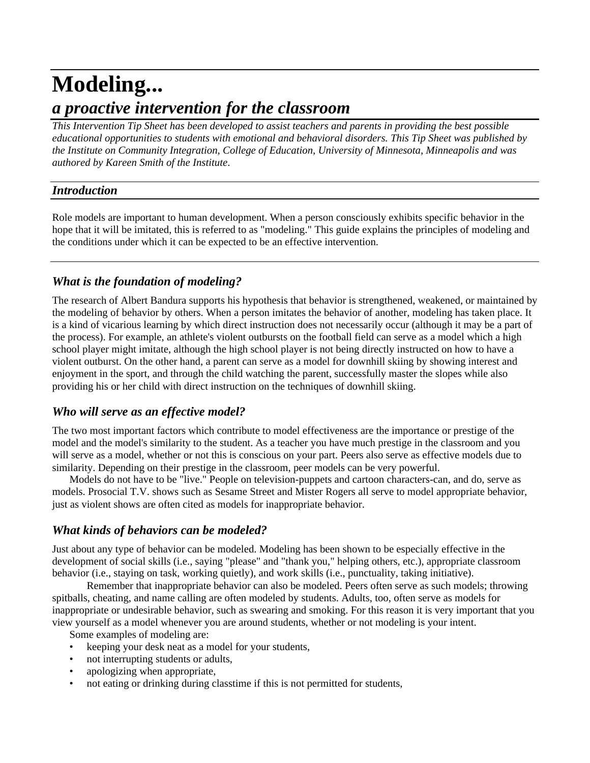# **Modeling...** *a proactive intervention for the classroom*

*This Intervention Tip Sheet has been developed to assist teachers and parents in providing the best possible educational opportunities to students with emotional and behavioral disorders. This Tip Sheet was published by the Institute on Community Integration, College of Education, University of Minnesota, Minneapolis and was authored by Kareen Smith of the Institute*.

#### *Introduction*

Role models are important to human development. When a person consciously exhibits specific behavior in the hope that it will be imitated, this is referred to as "modeling." This guide explains the principles of modeling and the conditions under which it can be expected to be an effective intervention.

## *What is the foundation of modeling?*

The research of Albert Bandura supports his hypothesis that behavior is strengthened, weakened, or maintained by the modeling of behavior by others. When a person imitates the behavior of another, modeling has taken place. It is a kind of vicarious learning by which direct instruction does not necessarily occur (although it may be a part of the process). For example, an athlete's violent outbursts on the football field can serve as a model which a high school player might imitate, although the high school player is not being directly instructed on how to have a violent outburst. On the other hand, a parent can serve as a model for downhill skiing by showing interest and enjoyment in the sport, and through the child watching the parent, successfully master the slopes while also providing his or her child with direct instruction on the techniques of downhill skiing.

## *Who will serve as an effective model?*

The two most important factors which contribute to model effectiveness are the importance or prestige of the model and the model's similarity to the student. As a teacher you have much prestige in the classroom and you will serve as a model, whether or not this is conscious on your part. Peers also serve as effective models due to similarity. Depending on their prestige in the classroom, peer models can be very powerful.

Models do not have to be "live." People on television-puppets and cartoon characters-can, and do, serve as models. Prosocial T.V. shows such as Sesame Street and Mister Rogers all serve to model appropriate behavior, just as violent shows are often cited as models for inappropriate behavior.

## *What kinds of behaviors can be modeled?*

Just about any type of behavior can be modeled. Modeling has been shown to be especially effective in the development of social skills (i.e., saying "please" and "thank you," helping others, etc.), appropriate classroom behavior (i.e., staying on task, working quietly), and work skills (i.e., punctuality, taking initiative).

Remember that inappropriate behavior can also be modeled. Peers often serve as such models; throwing spitballs, cheating, and name calling are often modeled by students. Adults, too, often serve as models for inappropriate or undesirable behavior, such as swearing and smoking. For this reason it is very important that you view yourself as a model whenever you are around students, whether or not modeling is your intent.

Some examples of modeling are:

- keeping your desk neat as a model for your students,
- not interrupting students or adults,
- apologizing when appropriate,
- not eating or drinking during classtime if this is not permitted for students,